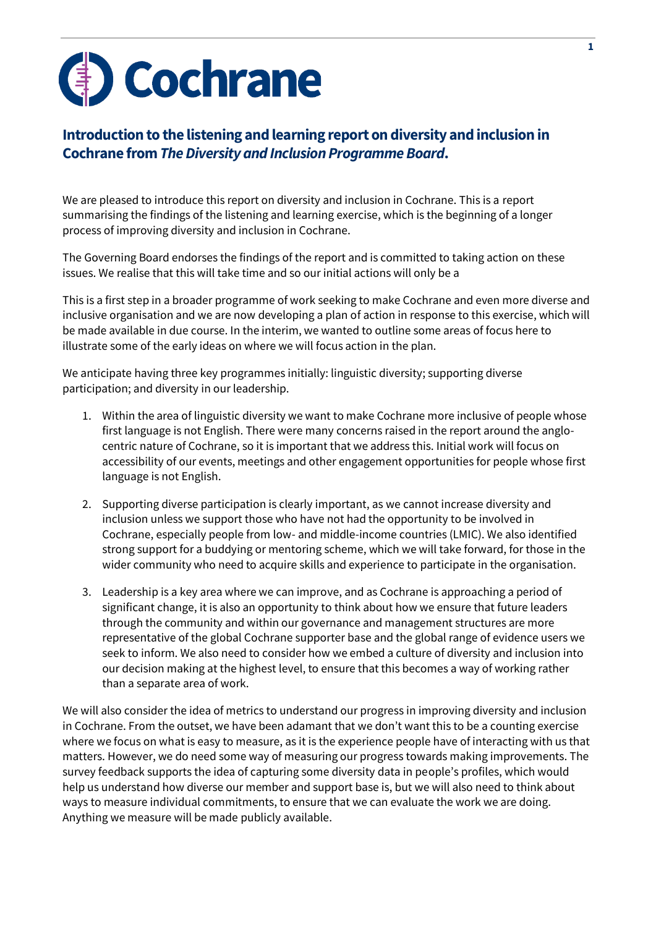

## **Introduction to the listening and learning report on diversity and inclusion in Cochrane from** *The Diversity and Inclusion Programme Board***.**

We are pleased to introduce this report on diversity and inclusion in Cochrane. This is a report summarising the findings of the listening and learning exercise, which is the beginning of a longer process of improving diversity and inclusion in Cochrane.

The Governing Board endorses the findings of the report and is committed to taking action on these issues. We realise that this will take time and so our initial actions will only be a

This is a first step in a broader programme of work seeking to make Cochrane and even more diverse and inclusive organisation and we are now developing a plan of action in response to this exercise, which will be made available in due course. In the interim, we wanted to outline some areas of focus here to illustrate some of the early ideas on where we will focus action in the plan.

We anticipate having three key programmes initially: linguistic diversity; supporting diverse participation; and diversity in our leadership.

- 1. Within the area of linguistic diversity we want to make Cochrane more inclusive of people whose first language is not English. There were many concerns raised in the report around the anglocentric nature of Cochrane, so it is important that we address this. Initial work will focus on accessibility of our events, meetings and other engagement opportunities for people whose first language is not English.
- 2. Supporting diverse participation is clearly important, as we cannot increase diversity and inclusion unless we support those who have not had the opportunity to be involved in Cochrane, especially people from low- and middle-income countries (LMIC). We also identified strong support for a buddying or mentoring scheme, which we will take forward, for those in the wider community who need to acquire skills and experience to participate in the organisation.
- 3. Leadership is a key area where we can improve, and as Cochrane is approaching a period of significant change, it is also an opportunity to think about how we ensure that future leaders through the community and within our governance and management structures are more representative of the global Cochrane supporter base and the global range of evidence users we seek to inform. We also need to consider how we embed a culture of diversity and inclusion into our decision making at the highest level, to ensure that this becomes a way of working rather than a separate area of work.

We will also consider the idea of metrics to understand our progress in improving diversity and inclusion in Cochrane. From the outset, we have been adamant that we don't want this to be a counting exercise where we focus on what is easy to measure, as it is the experience people have of interacting with us that matters. However, we do need some way of measuring our progress towards making improvements. The survey feedback supports the idea of capturing some diversity data in people's profiles, which would help us understand how diverse our member and support base is, but we will also need to think about ways to measure individual commitments, to ensure that we can evaluate the work we are doing. Anything we measure will be made publicly available.